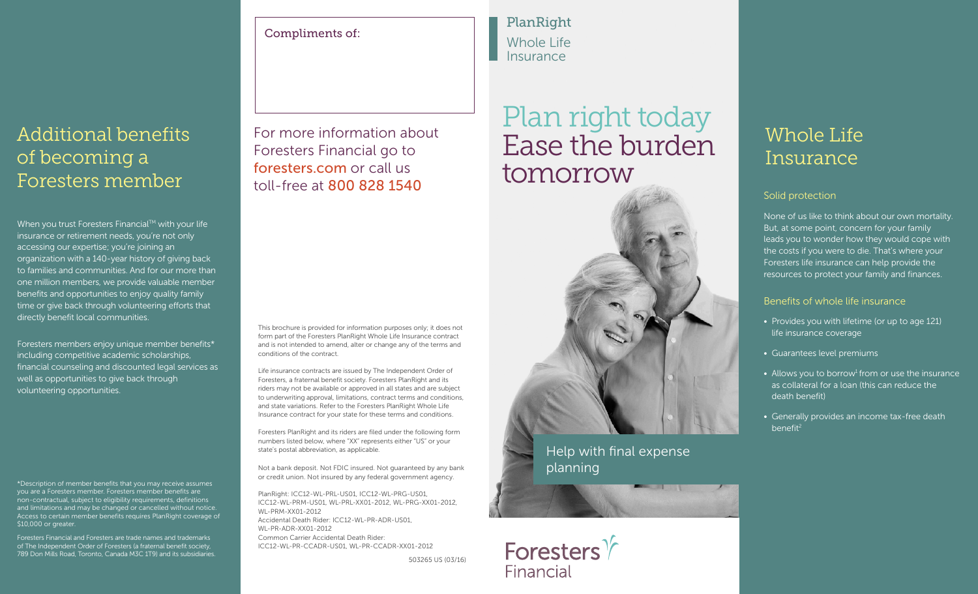### Additional benefits of becoming a Foresters member

When you trust Foresters Financial<sup>TM</sup> with your life insurance or retirement needs, you're not only accessing our expertise; you're joining an organization with a 140-year history of giving back to families and communities. And for our more than one million members, we provide valuable member benefits and opportunities to enjoy quality family time or give back through volunteering efforts that directly benefit local communities.

Foresters members enjoy unique member benefits\* including competitive academic scholarships, financial counseling and discounted legal services as well as opportunities to give back through volunteering opportunities.

\*Description of member benefits that you may receive assumes you are a Foresters member. Foresters member benefits are non-contractual, subject to eligibility requirements, definitions and limitations and may be changed or cancelled without notice. Access to certain member benefits requires PlanRight coverage of \$10,000 or greater.

Foresters Financial and Foresters are trade names and trademarks of The Independent Order of Foresters (a fraternal benefit society, 789 Don Mills Road, Toronto, Canada M3C 1T9) and its subsidiaries. Compliments of:

For more information about Foresters Financial go to foresters.com or call us toll-free at 800 828 1540

This brochure is provided for information purposes only; it does not form part of the Foresters PlanRight Whole Life Insurance contract and is not intended to amend, alter or change any of the terms and conditions of the contract.

Life insurance contracts are issued by The Independent Order of Foresters, a fraternal benefit society. Foresters PlanRight and its riders may not be available or approved in all states and are subject to underwriting approval, limitations, contract terms and conditions, and state variations. Refer to the Foresters PlanRight Whole Life Insurance contract for your state for these terms and conditions.

Foresters PlanRight and its riders are filed under the following form numbers listed below, where "XX" represents either "US" or your state's postal abbreviation, as applicable.

Not a bank deposit. Not FDIC insured. Not guaranteed by any bank or credit union. Not insured by any federal government agency.

PlanRight: ICC12-WL-PRL-US01, ICC12-WL-PRG-US01, ICC12-WL-PRM-US01, WL-PRL-XX01-2012, WL-PRG-XX01-2012, WL-PRM-XX01-2012 Accidental Death Rider: ICC12-WL-PR-ADR-US01, WL-PR-ADR-XX01-2012 Common Carrier Accidental Death Rider: ICC12-WL-PR-CCADR-US01, WL-PR-CCADR-XX01-2012

503265 US (03/16)

PlanRight Whole Life Insurance

## Plan right today Ease the burden tomorrow



Help with final expense planning



### Whole Life Insurance

#### Solid protection

None of us like to think about our own mortality. But, at some point, concern for your family leads you to wonder how they would cope with the costs if you were to die. That's where your Foresters life insurance can help provide the resources to protect your family and finances.

#### Benefits of whole life insurance

- Provides you with lifetime (or up to age 121) life insurance coverage
- Guarantees level premiums
- Allows you to borrow<sup>1</sup> from or use the insurance as collateral for a loan (this can reduce the death benefit)
- Generally provides an income tax-free death benefit<sup>2</sup>